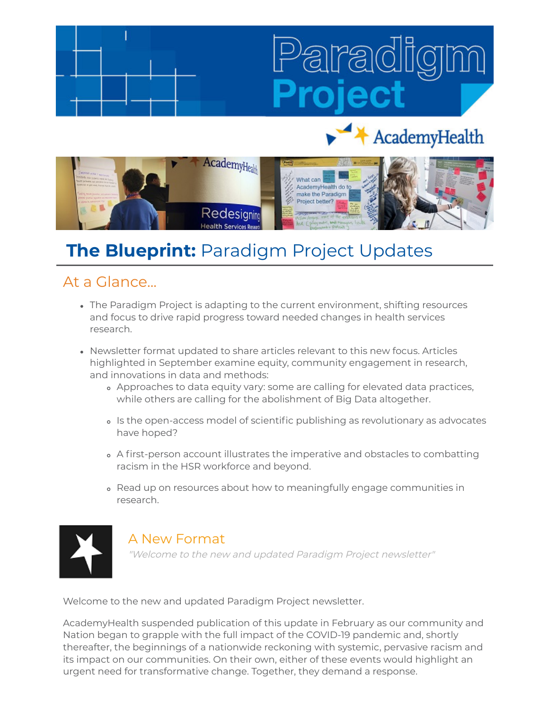# AcademyHealth



# **The Blueprint:** Paradigm Project Updates

# At a Glance...

- The Paradigm Project is adapting to the current environment, shifting resources and focus to drive rapid progress toward needed changes in health services research.
- Newsletter format updated to share articles relevant to this new focus. Articles highlighted in September examine equity, community engagement in research, and innovations in data and methods:
	- Approaches to data equity vary: some are calling for elevated data practices, while others are calling for the abolishment of Big Data altogether.
	- o Is the open-access model of scientific publishing as revolutionary as advocates have hoped?
	- o A first-person account illustrates the imperative and obstacles to combatting racism in the HSR workforce and beyond.
	- Read up on resources about how to meaningfully engage communities in research.



# A New Format

"Welcome to the new and updated Paradigm Project newsletter"

Welcome to the new and updated Paradigm Project newsletter.

AcademyHealth suspended publication of this update in February as our community and Nation began to grapple with the full impact of the COVID-19 pandemic and, shortly thereafter, the beginnings of a nationwide reckoning with systemic, pervasive racism and its impact on our communities. On their own, either of these events would highlight an urgent need for transformative change. Together, they demand a response.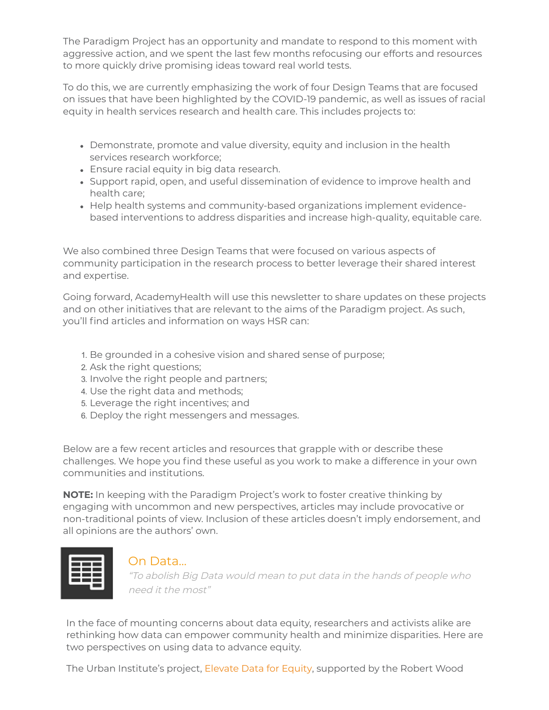The Paradigm Project has an opportunity and mandate to respond to this moment with aggressive action, and we spent the last few months refocusing our efforts and resources to more quickly drive promising ideas toward real world tests.

To do this, we are currently emphasizing the work of four Design Teams that are focused on issues that have been highlighted by the COVID-19 pandemic, as well as issues of racial equity in health services research and health care. This includes projects to:

- Demonstrate, promote and value diversity, equity and inclusion in the health services research workforce;
- Ensure racial equity in big data research.
- Support rapid, open, and useful dissemination of evidence to improve health and health care;
- Help health systems and community-based organizations implement evidencebased interventions to address disparities and increase high-quality, equitable care.

We also combined three Design Teams that were focused on various aspects of community participation in the research process to better leverage their shared interest and expertise.

Going forward, AcademyHealth will use this newsletter to share updates on these projects and on other initiatives that are relevant to the aims of the Paradigm project. As such, you'll find articles and information on ways HSR can:

- 1. Be grounded in a cohesive vision and shared sense of purpose;
- 2. Ask the right questions;
- 3. Involve the right people and partners;
- 4. Use the right data and methods;
- 5. Leverage the right incentives; and
- 6. Deploy the right messengers and messages.

Below are a few recent articles and resources that grapple with or describe these challenges. We hope you find these useful as you work to make a difference in your own communities and institutions.

**NOTE:** In keeping with the Paradigm Project's work to foster creative thinking by engaging with uncommon and new perspectives, articles may include provocative or non-traditional points of view. Inclusion of these articles doesn't imply endorsement, and all opinions are the authors' own.



#### On Data...

"To abolish Big Data would mean to put data in the hands of people who need it the most"

In the face of mounting concerns about data equity, researchers and activists alike are rethinking how data can empower community health and minimize disparities. Here are two perspectives on using data to advance equity.

The Urban Institute's project, [Elevate Data for Equity](https://www.urban.org/elevate-data-equity), supported by the Robert Wood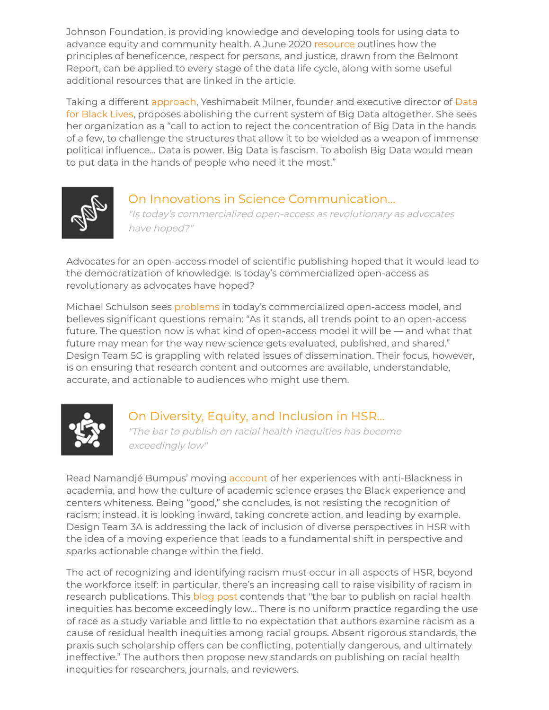Johnson Foundation, is providing knowledge and developing tools for using data to advance equity and community health. A June 2020 [resource](https://www.urban.org/sites/default/files/publication/102346/principles-for-advancing-equitable-data-practice.pdf) outlines how the principles of beneficence, respect for persons, and justice, drawn from the Belmont Report, can be applied to every stage of the data life cycle, along with some useful additional resources that are linked in the article.

[Taking a different](https://d4bl.org/) [approac](https://datasociety.net/library/abolish-big-data/)[h, Yeshimabeit Milner, founder and executive director of Data](https://d4bl.org/) for Black Lives, proposes abolishing the current system of Big Data altogether. She sees her organization as a "call to action to reject the concentration of Big Data in the hands of a few, to challenge the structures that allow it to be wielded as a weapon of immense political influence... Data is power. Big Data is fascism. To abolish Big Data would mean to put data in the hands of people who need it the most."



### On Innovations in Science Communication...

"Is today's commercialized open-access as revolutionary as advocates have hoped?"

Advocates for an open-access model of scientific publishing hoped that it would lead to the democratization of knowledge. Is today's commercialized open-access as revolutionary as advocates have hoped?

Michael Schulson sees [problems](https://undark.org/2020/03/30/science-publishing-open-acess/) in today's commercialized open-access model, and believes significant questions remain: "As it stands, all trends point to an open-access future. The question now is what kind of open-access model it will be — and what that future may mean for the way new science gets evaluated, published, and shared." Design Team 5C is grappling with related issues of dissemination. Their focus, however, is on ensuring that research content and outcomes are available, understandable, accurate, and actionable to audiences who might use them.



## On Diversity, Equity, and Inclusion in HSR...

"The bar to publish on racial health inequities has become exceedingly low"

Read Namandjé Bumpus' moving [account](https://www.nature.com/articles/d41586-020-02203-w) of her experiences with anti-Blackness in academia, and how the culture of academic science erases the Black experience and centers whiteness. Being "good," she concludes, is not resisting the recognition of racism; instead, it is looking inward, taking concrete action, and leading by example. Design Team 3A is addressing the lack of inclusion of diverse perspectives in HSR with the idea of a moving experience that leads to a fundamental shift in perspective and sparks actionable change within the field.

The act of recognizing and identifying racism must occur in all aspects of HSR, beyond the workforce itself: in particular, there's an increasing call to raise visibility of racism in research publications. This [blog post](https://www.healthaffairs.org/do/10.1377/hblog20200630.939347/full/) contends that "the bar to publish on racial health inequities has become exceedingly low... There is no uniform practice regarding the use of race as a study variable and little to no expectation that authors examine racism as a cause of residual health inequities among racial groups. Absent rigorous standards, the praxis such scholarship offers can be conflicting, potentially dangerous, and ultimately ineffective." The authors then propose new standards on publishing on racial health inequities for researchers, journals, and reviewers.